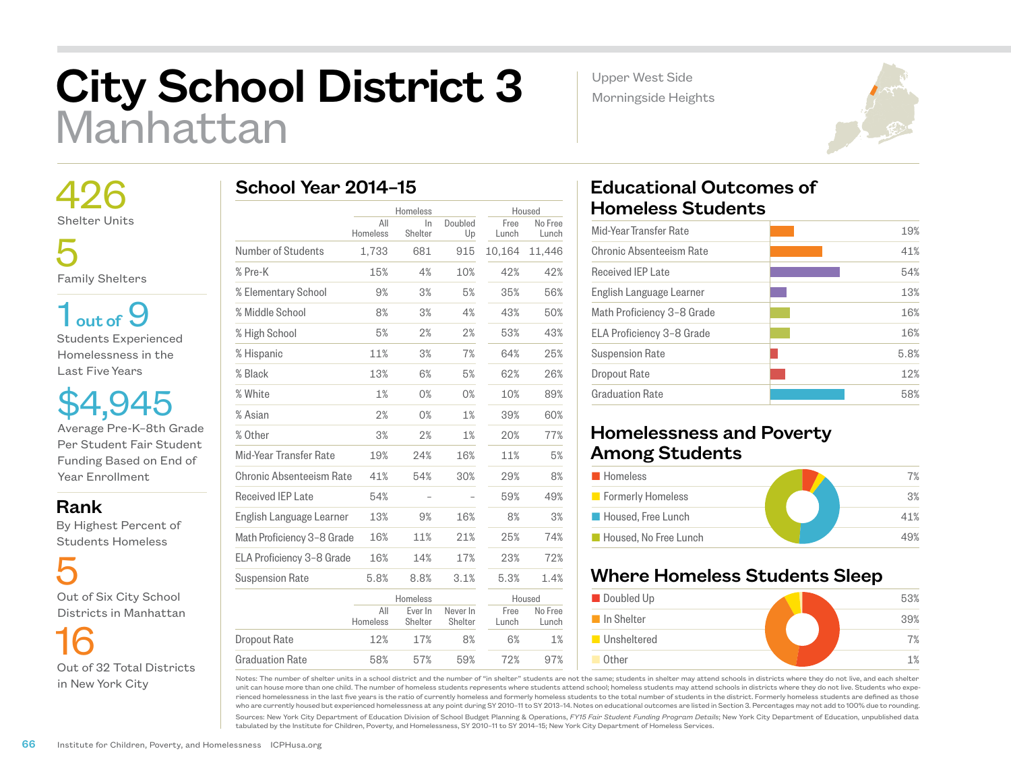## City School District 3 Manhattan

 426 Shelter Units

 5 Family Shelters

 $1<sub>out of</sub>9$ Students Experienced Homelessness in the Last Five Years

\$4,945 Average Pre-K–8th Grade Per Student Fair Student Funding Based on End of Year Enrollment

Rank

 By Highest Percent of Students Homeless

 5 Out of Six City School Districts in Manhattan

 16 Out of 32 Total Districts in New York City

|  |  | School Year 2014-15 |
|--|--|---------------------|
|--|--|---------------------|

|                            |                 | Homeless           |                     | Housed        |                  |
|----------------------------|-----------------|--------------------|---------------------|---------------|------------------|
|                            | All<br>Homeless | $\ln$<br>Shelter   | Doubled<br>Up       | Free<br>Lunch | No Free<br>Lunch |
| Number of Students         | 1,733           | 681                | 915                 | 10,164        | 11,446           |
| % Pre-K                    | 15%             | 4%                 | 10%                 | 42%           | 42%              |
| % Elementary School        | 9%              | 3%                 | 5%                  | 35%           | 56%              |
| % Middle School            | 8%              | 3%                 | 4%                  | 43%           | 50%              |
| % High School              | 5%              | 2%                 | 2%                  | 53%           | 43%              |
| % Hispanic                 | 11%             | 3%                 | 7%                  | 64%           | 25%              |
| % Black                    | 13%             | 6%                 | 5%                  | 62%           | 26%              |
| % White                    | 1%              | 0%                 | 0%                  | 10%           | 89%              |
| % Asian                    | 2%              | 0%                 | 1%                  | 39%           | 60%              |
| % Other                    | 3%              | 2%                 | 1%                  | 20%           | 77%              |
| Mid-Year Transfer Rate     | 19%             | 24%                | 16%                 | 11%           | 5%               |
| Chronic Absenteeism Rate   | 41%             | 54%                | 30%                 | 29%           | 8%               |
| <b>Received IEP Late</b>   | 54%             |                    |                     | 59%           | 49%              |
| English Language Learner   | 13%             | 9%                 | 16%                 | 8%            | 3%               |
| Math Proficiency 3-8 Grade | 16%             | 11%                | 21%                 | 25%           | 74%              |
| ELA Proficiency 3-8 Grade  | 16%             | 14%                | 17%                 | 23%           | 72%              |
| <b>Suspension Rate</b>     | 5.8%            | 8.8%               | 3.1%                | 5.3%          | 1.4%             |
|                            |                 | Homeless           |                     |               | Housed           |
|                            | All<br>Homeless | Ever In<br>Shelter | Never In<br>Shelter | Free<br>Lunch | No Free<br>Lunch |
| <b>Dropout Rate</b>        | 12%             | 17%                | 8%                  | 6%            | 1%               |
| <b>Graduation Rate</b>     | 58%             | 57%                | 59%                 | 72%           | 97%              |

## Educational Outcomes of Homeless Students

Upper West Side Morningside Heights

| Mid-Year Transfer Rate     | 19%  |
|----------------------------|------|
| Chronic Absenteeism Rate   | 41%  |
| <b>Received IEP Late</b>   | 54%  |
| English Language Learner   | 13%  |
| Math Proficiency 3-8 Grade | 16%  |
| ELA Proficiency 3-8 Grade  | 16%  |
| <b>Suspension Rate</b>     | 5.8% |
| Dropout Rate               | 12%  |
| <b>Graduation Rate</b>     | 58%  |
|                            |      |

## Homelessness and Poverty Among Students

| <b>Homeless</b>       | 7%  |
|-----------------------|-----|
| Formerly Homeless     | 3%  |
| Housed, Free Lunch    | 41% |
| Housed. No Free Lunch | 19% |

## Where Homeless Students Sleep



Notes: The number of shelter units in a school district and the number of "in shelter" students are not the same; students in shelter may attend schools in districts where they do not live, and each shelter unit can house more than one child. The number of homeless students represents where students attend school; homeless students may attend schools in districts where they do not live. Students who experienced homelessness in the last five years is the ratio of currently homeless and formerly homeless students to the total number of students in the district. Formerly homeless students are defined as those who are currently housed but experienced homelessness at any point during SY 2010–11 to SY 2013–14. Notes on educational outcomes are listed in Section 3. Percentages may not add to 100% due to rounding.

Sources: New York City Department of Education Division of School Budget Planning & Operations, *FY15 Fair Student Funding Program Details*; New York City Department of Education, unpublished data tabulated by the Institute for Children, Poverty, and Homelessness, SY 2010–11 to SY 2014–15; New York City Department of Homeless Services.